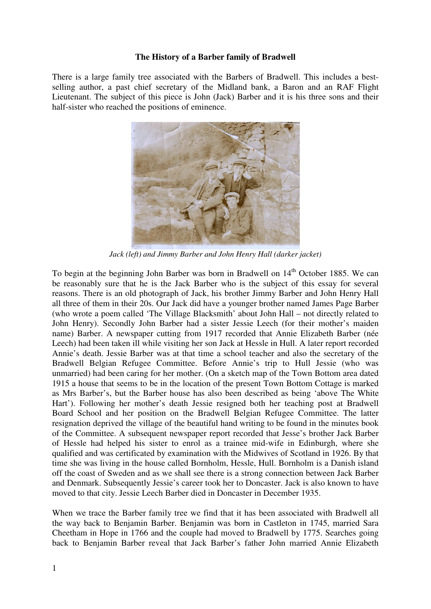## **The History of a Barber family of Bradwell**

There is a large family tree associated with the Barbers of Bradwell. This includes a bestselling author, a past chief secretary of the Midland bank, a Baron and an RAF Flight Lieutenant. The subject of this piece is John (Jack) Barber and it is his three sons and their half-sister who reached the positions of eminence.



*Jack (left) and Jimmy Barber and John Henry Hall (darker jacket)* 

To begin at the beginning John Barber was born in Bradwell on 14<sup>th</sup> October 1885. We can be reasonably sure that he is the Jack Barber who is the subject of this essay for several reasons. There is an old photograph of Jack, his brother Jimmy Barber and John Henry Hall all three of them in their 20s. Our Jack did have a younger brother named James Page Barber (who wrote a poem called 'The Village Blacksmith' about John Hall – not directly related to John Henry). Secondly John Barber had a sister Jessie Leech (for their mother's maiden name) Barber. A newspaper cutting from 1917 recorded that Annie Elizabeth Barber (née Leech) had been taken ill while visiting her son Jack at Hessle in Hull. A later report recorded Annie's death. Jessie Barber was at that time a school teacher and also the secretary of the Bradwell Belgian Refugee Committee. Before Annie's trip to Hull Jessie (who was unmarried) had been caring for her mother. (On a sketch map of the Town Bottom area dated 1915 a house that seems to be in the location of the present Town Bottom Cottage is marked as Mrs Barber's, but the Barber house has also been described as being 'above The White Hart'). Following her mother's death Jessie resigned both her teaching post at Bradwell Board School and her position on the Bradwell Belgian Refugee Committee. The latter resignation deprived the village of the beautiful hand writing to be found in the minutes book of the Committee. A subsequent newspaper report recorded that Jesse's brother Jack Barber of Hessle had helped his sister to enrol as a trainee mid-wife in Edinburgh, where she qualified and was certificated by examination with the Midwives of Scotland in 1926. By that time she was living in the house called Bornholm, Hessle, Hull. Bornholm is a Danish island off the coast of Sweden and as we shall see there is a strong connection between Jack Barber and Denmark. Subsequently Jessie's career took her to Doncaster. Jack is also known to have moved to that city. Jessie Leech Barber died in Doncaster in December 1935.

When we trace the Barber family tree we find that it has been associated with Bradwell all the way back to Benjamin Barber. Benjamin was born in Castleton in 1745, married Sara Cheetham in Hope in 1766 and the couple had moved to Bradwell by 1775. Searches going back to Benjamin Barber reveal that Jack Barber's father John married Annie Elizabeth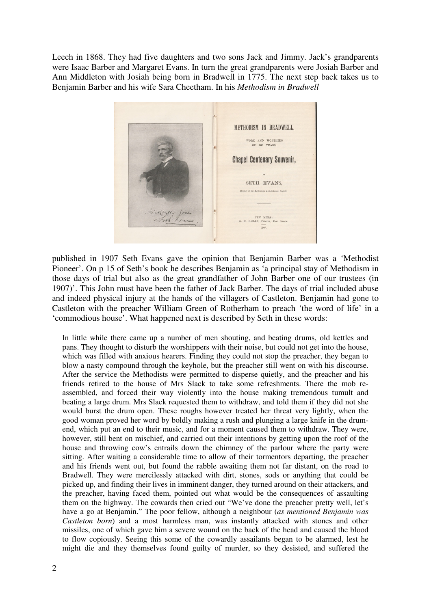Leech in 1868. They had five daughters and two sons Jack and Jimmy. Jack's grandparents were Isaac Barber and Margaret Evans. In turn the great grandparents were Josiah Barber and Ann Middleton with Josiah being born in Bradwell in 1775. The next step back takes us to Benjamin Barber and his wife Sara Cheetham. In his *Methodism in Bradwell*



published in 1907 Seth Evans gave the opinion that Benjamin Barber was a 'Methodist Pioneer'. On p 15 of Seth's book he describes Benjamin as 'a principal stay of Methodism in those days of trial but also as the great grandfather of John Barber one of our trustees (in 1907)'. This John must have been the father of Jack Barber. The days of trial included abuse and indeed physical injury at the hands of the villagers of Castleton. Benjamin had gone to Castleton with the preacher William Green of Rotherham to preach 'the word of life' in a 'commodious house'. What happened next is described by Seth in these words:

In little while there came up a number of men shouting, and beating drums, old kettles and pans. They thought to disturb the worshippers with their noise, but could not get into the house, which was filled with anxious hearers. Finding they could not stop the preacher, they began to blow a nasty compound through the keyhole, but the preacher still went on with his discourse. After the service the Methodists were permitted to disperse quietly, and the preacher and his friends retired to the house of Mrs Slack to take some refreshments. There the mob reassembled, and forced their way violently into the house making tremendous tumult and beating a large drum. Mrs Slack requested them to withdraw, and told them if they did not she would burst the drum open. These roughs however treated her threat very lightly, when the good woman proved her word by boldly making a rush and plunging a large knife in the drumend, which put an end to their music, and for a moment caused them to withdraw. They were, however, still bent on mischief, and carried out their intentions by getting upon the roof of the house and throwing cow's entrails down the chimney of the parlour where the party were sitting. After waiting a considerable time to allow of their tormentors departing, the preacher and his friends went out, but found the rabble awaiting them not far distant, on the road to Bradwell. They were mercilessly attacked with dirt, stones, sods or anything that could be picked up, and finding their lives in imminent danger, they turned around on their attackers, and the preacher, having faced them, pointed out what would be the consequences of assaulting them on the highway. The cowards then cried out "We've done the preacher pretty well, let's have a go at Benjamin." The poor fellow, although a neighbour (*as mentioned Benjamin was Castleton born*) and a most harmless man, was instantly attacked with stones and other missiles, one of which gave him a severe wound on the back of the head and caused the blood to flow copiously. Seeing this some of the cowardly assailants began to be alarmed, lest he might die and they themselves found guilty of murder, so they desisted, and suffered the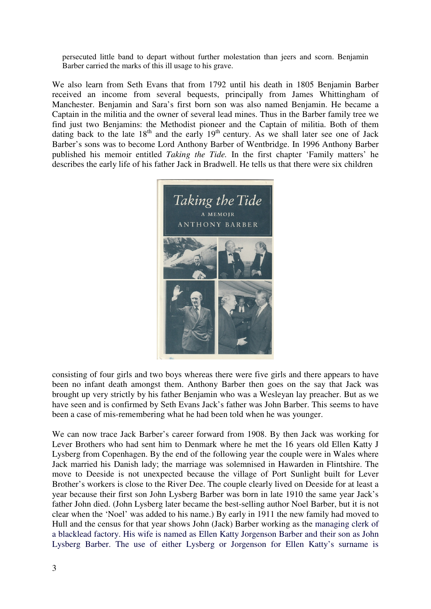persecuted little band to depart without further molestation than jeers and scorn. Benjamin Barber carried the marks of this ill usage to his grave.

We also learn from Seth Evans that from 1792 until his death in 1805 Benjamin Barber received an income from several bequests, principally from James Whittingham of Manchester. Benjamin and Sara's first born son was also named Benjamin. He became a Captain in the militia and the owner of several lead mines. Thus in the Barber family tree we find just two Benjamins: the Methodist pioneer and the Captain of militia. Both of them dating back to the late  $18<sup>th</sup>$  and the early  $19<sup>th</sup>$  century. As we shall later see one of Jack Barber's sons was to become Lord Anthony Barber of Wentbridge. In 1996 Anthony Barber published his memoir entitled *Taking the Tide.* In the first chapter 'Family matters' he describes the early life of his father Jack in Bradwell. He tells us that there were six children



consisting of four girls and two boys whereas there were five girls and there appears to have been no infant death amongst them. Anthony Barber then goes on the say that Jack was brought up very strictly by his father Benjamin who was a Wesleyan lay preacher. But as we have seen and is confirmed by Seth Evans Jack's father was John Barber. This seems to have been a case of mis-remembering what he had been told when he was younger.

We can now trace Jack Barber's career forward from 1908. By then Jack was working for Lever Brothers who had sent him to Denmark where he met the 16 years old Ellen Katty J Lysberg from Copenhagen. By the end of the following year the couple were in Wales where Jack married his Danish lady; the marriage was solemnised in Hawarden in Flintshire. The move to Deeside is not unexpected because the village of Port Sunlight built for Lever Brother's workers is close to the River Dee. The couple clearly lived on Deeside for at least a year because their first son John Lysberg Barber was born in late 1910 the same year Jack's father John died. (John Lysberg later became the best-selling author Noel Barber, but it is not clear when the 'Noel' was added to his name.) By early in 1911 the new family had moved to Hull and the census for that year shows John (Jack) Barber working as the managing clerk of a blacklead factory. His wife is named as Ellen Katty Jorgenson Barber and their son as John Lysberg Barber. The use of either Lysberg or Jorgenson for Ellen Katty's surname is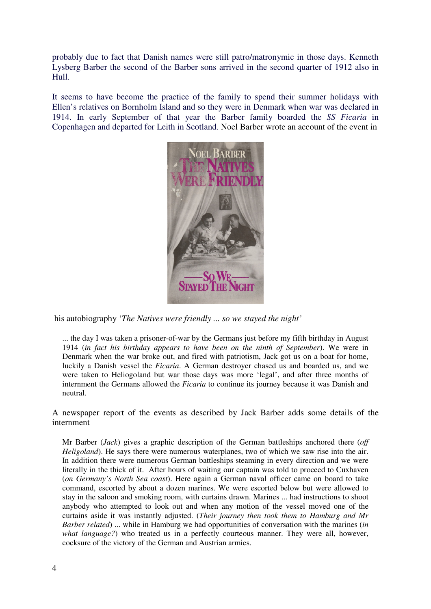probably due to fact that Danish names were still patro/matronymic in those days. Kenneth Lysberg Barber the second of the Barber sons arrived in the second quarter of 1912 also in Hull.

It seems to have become the practice of the family to spend their summer holidays with Ellen's relatives on Bornholm Island and so they were in Denmark when war was declared in 1914. In early September of that year the Barber family boarded the *SS Ficaria* in Copenhagen and departed for Leith in Scotland. Noel Barber wrote an account of the event in



his autobiography '*The Natives were friendly ... so we stayed the night'*

... the day I was taken a prisoner-of-war by the Germans just before my fifth birthday in August 1914 (*in fact his birthday appears to have been on the ninth of September*). We were in Denmark when the war broke out, and fired with patriotism, Jack got us on a boat for home, luckily a Danish vessel the *Ficaria*. A German destroyer chased us and boarded us, and we were taken to Heliogoland but war those days was more 'legal', and after three months of internment the Germans allowed the *Ficaria* to continue its journey because it was Danish and neutral.

A newspaper report of the events as described by Jack Barber adds some details of the internment

Mr Barber (*Jack*) gives a graphic description of the German battleships anchored there (*off Heligoland*). He says there were numerous waterplanes, two of which we saw rise into the air. In addition there were numerous German battleships steaming in every direction and we were literally in the thick of it. After hours of waiting our captain was told to proceed to Cuxhaven (*on Germany's North Sea coast*). Here again a German naval officer came on board to take command, escorted by about a dozen marines. We were escorted below but were allowed to stay in the saloon and smoking room, with curtains drawn. Marines ... had instructions to shoot anybody who attempted to look out and when any motion of the vessel moved one of the curtains aside it was instantly adjusted. (*Their journey then took them to Hamburg and Mr Barber related*) ... while in Hamburg we had opportunities of conversation with the marines (*in what language?*) who treated us in a perfectly courteous manner. They were all, however, cocksure of the victory of the German and Austrian armies.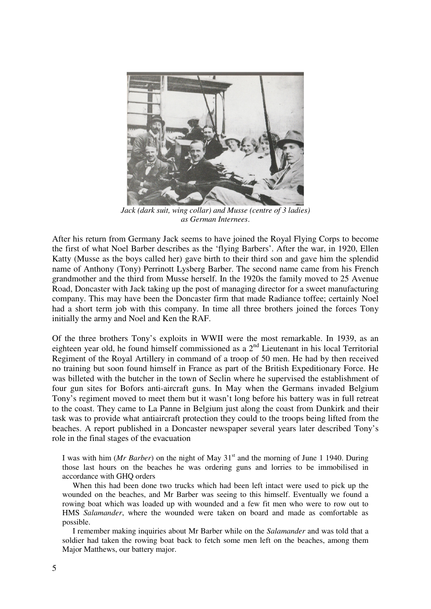

*Jack (dark suit, wing collar) and Musse (centre of 3 ladies) as German Internees*.

After his return from Germany Jack seems to have joined the Royal Flying Corps to become the first of what Noel Barber describes as the 'flying Barbers'. After the war, in 1920, Ellen Katty (Musse as the boys called her) gave birth to their third son and gave him the splendid name of Anthony (Tony) Perrinott Lysberg Barber. The second name came from his French grandmother and the third from Musse herself. In the 1920s the family moved to 25 Avenue Road, Doncaster with Jack taking up the post of managing director for a sweet manufacturing company. This may have been the Doncaster firm that made Radiance toffee; certainly Noel had a short term job with this company. In time all three brothers joined the forces Tony initially the army and Noel and Ken the RAF.

Of the three brothers Tony's exploits in WWII were the most remarkable. In 1939, as an eighteen year old, he found himself commissioned as a 2<sup>nd</sup> Lieutenant in his local Territorial Regiment of the Royal Artillery in command of a troop of 50 men. He had by then received no training but soon found himself in France as part of the British Expeditionary Force. He was billeted with the butcher in the town of Seclin where he supervised the establishment of four gun sites for Bofors anti-aircraft guns. In May when the Germans invaded Belgium Tony's regiment moved to meet them but it wasn't long before his battery was in full retreat to the coast. They came to La Panne in Belgium just along the coast from Dunkirk and their task was to provide what antiaircraft protection they could to the troops being lifted from the beaches. A report published in a Doncaster newspaper several years later described Tony's role in the final stages of the evacuation

I was with him (*Mr Barber*) on the night of May 31<sup>st</sup> and the morning of June 1 1940. During those last hours on the beaches he was ordering guns and lorries to be immobilised in accordance with GHQ orders

When this had been done two trucks which had been left intact were used to pick up the wounded on the beaches, and Mr Barber was seeing to this himself. Eventually we found a rowing boat which was loaded up with wounded and a few fit men who were to row out to HMS *Salamander*, where the wounded were taken on board and made as comfortable as possible.

I remember making inquiries about Mr Barber while on the *Salamander* and was told that a soldier had taken the rowing boat back to fetch some men left on the beaches, among them Major Matthews, our battery major.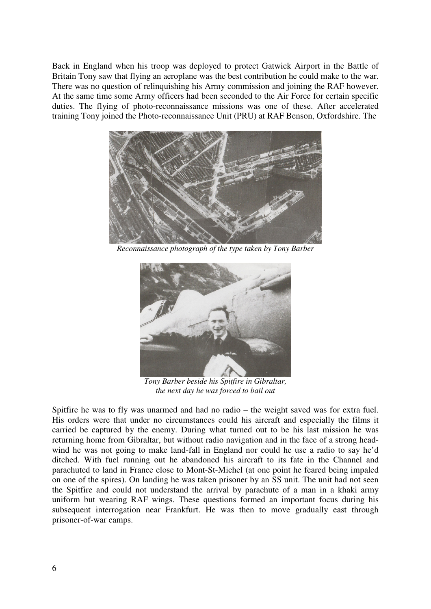Back in England when his troop was deployed to protect Gatwick Airport in the Battle of Britain Tony saw that flying an aeroplane was the best contribution he could make to the war. There was no question of relinquishing his Army commission and joining the RAF however. At the same time some Army officers had been seconded to the Air Force for certain specific duties. The flying of photo-reconnaissance missions was one of these. After accelerated training Tony joined the Photo-reconnaissance Unit (PRU) at RAF Benson, Oxfordshire. The



*Reconnaissance photograph of the type taken by Tony Barber* 



*Tony Barber beside his Spitfire in Gibraltar, the next day he was forced to bail out*

Spitfire he was to fly was unarmed and had no radio – the weight saved was for extra fuel. His orders were that under no circumstances could his aircraft and especially the films it carried be captured by the enemy. During what turned out to be his last mission he was returning home from Gibraltar, but without radio navigation and in the face of a strong headwind he was not going to make land-fall in England nor could he use a radio to say he'd ditched. With fuel running out he abandoned his aircraft to its fate in the Channel and parachuted to land in France close to Mont-St-Michel (at one point he feared being impaled on one of the spires). On landing he was taken prisoner by an SS unit. The unit had not seen the Spitfire and could not understand the arrival by parachute of a man in a khaki army uniform but wearing RAF wings. These questions formed an important focus during his subsequent interrogation near Frankfurt. He was then to move gradually east through prisoner-of-war camps.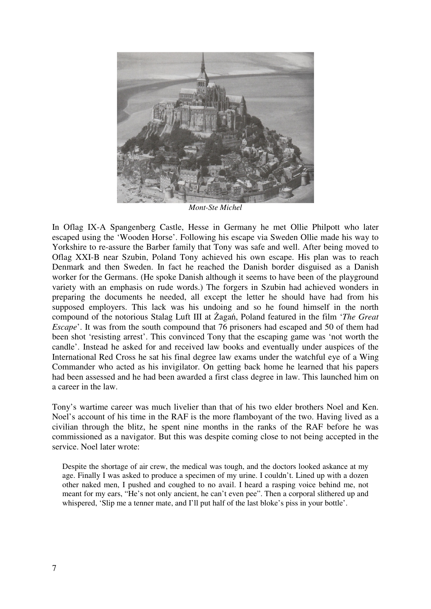

In Oflag IX-A Spangenberg Castle, Hesse in Germany he met Ollie Philpott who later escaped using the 'Wooden Horse'. Following his escape via Sweden Ollie made his way to Yorkshire to re-assure the Barber family that Tony was safe and well. After being moved to Oflag XXI-B near Szubin, Poland Tony achieved his own escape. His plan was to reach Denmark and then Sweden. In fact he reached the Danish border disguised as a Danish worker for the Germans. (He spoke Danish although it seems to have been of the playground variety with an emphasis on rude words.) The forgers in Szubin had achieved wonders in preparing the documents he needed, all except the letter he should have had from his supposed employers. This lack was his undoing and so he found himself in the north compound of the notorious Stalag Luft III at Żagań, Poland featured in the film '*The Great Escape*'. It was from the south compound that 76 prisoners had escaped and 50 of them had been shot 'resisting arrest'. This convinced Tony that the escaping game was 'not worth the candle'. Instead he asked for and received law books and eventually under auspices of the International Red Cross he sat his final degree law exams under the watchful eye of a Wing Commander who acted as his invigilator. On getting back home he learned that his papers had been assessed and he had been awarded a first class degree in law. This launched him on a career in the law.

Tony's wartime career was much livelier than that of his two elder brothers Noel and Ken. Noel's account of his time in the RAF is the more flamboyant of the two. Having lived as a civilian through the blitz, he spent nine months in the ranks of the RAF before he was commissioned as a navigator. But this was despite coming close to not being accepted in the service. Noel later wrote:

Despite the shortage of air crew, the medical was tough, and the doctors looked askance at my age. Finally I was asked to produce a specimen of my urine. I couldn't. Lined up with a dozen other naked men, I pushed and coughed to no avail. I heard a rasping voice behind me, not meant for my ears, "He's not only ancient, he can't even pee". Then a corporal slithered up and whispered, 'Slip me a tenner mate, and I'll put half of the last bloke's piss in your bottle'.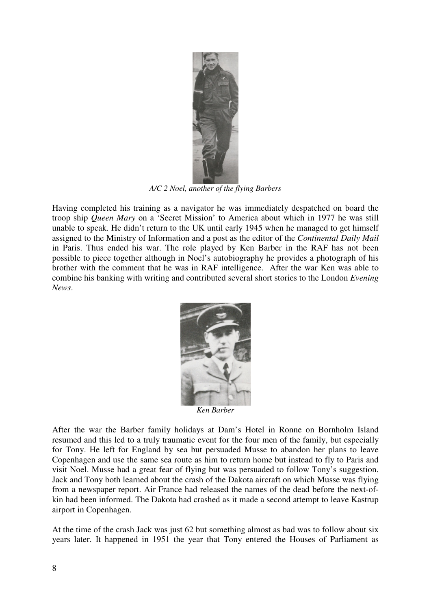

*A/C 2 Noel, another of the flying Barbers* 

Having completed his training as a navigator he was immediately despatched on board the troop ship *Queen Mary* on a 'Secret Mission' to America about which in 1977 he was still unable to speak. He didn't return to the UK until early 1945 when he managed to get himself assigned to the Ministry of Information and a post as the editor of the *Continental Daily Mail*  in Paris. Thus ended his war. The role played by Ken Barber in the RAF has not been possible to piece together although in Noel's autobiography he provides a photograph of his brother with the comment that he was in RAF intelligence. After the war Ken was able to combine his banking with writing and contributed several short stories to the London *Evening News*.



After the war the Barber family holidays at Dam's Hotel in Ronne on Bornholm Island resumed and this led to a truly traumatic event for the four men of the family, but especially for Tony. He left for England by sea but persuaded Musse to abandon her plans to leave Copenhagen and use the same sea route as him to return home but instead to fly to Paris and visit Noel. Musse had a great fear of flying but was persuaded to follow Tony's suggestion. Jack and Tony both learned about the crash of the Dakota aircraft on which Musse was flying from a newspaper report. Air France had released the names of the dead before the next-ofkin had been informed. The Dakota had crashed as it made a second attempt to leave Kastrup airport in Copenhagen.

At the time of the crash Jack was just 62 but something almost as bad was to follow about six years later. It happened in 1951 the year that Tony entered the Houses of Parliament as